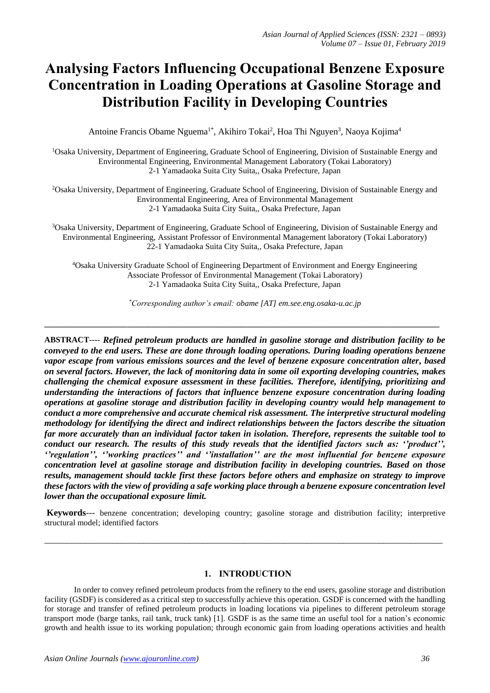# **Analysing Factors Influencing Occupational Benzene Exposure Concentration in Loading Operations at Gasoline Storage and Distribution Facility in Developing Countries**

Antoine Francis Obame Nguema<sup>1\*</sup>, Akihiro Tokai<sup>2</sup>, Hoa Thi Nguyen<sup>3</sup>, Naoya Kojima<sup>4</sup>

<sup>1</sup>Osaka University, Department of Engineering, Graduate School of Engineering, Division of Sustainable Energy and Environmental Engineering, Environmental Management Laboratory (Tokai Laboratory) 2-1 Yamadaoka Suita City Suita,, Osaka Prefecture, Japan

<sup>2</sup>Osaka University, Department of Engineering, Graduate School of Engineering, Division of Sustainable Energy and Environmental Engineering, Area of Environmental Management 2-1 Yamadaoka Suita City Suita,, Osaka Prefecture, Japan

<sup>3</sup>Osaka University, Department of Engineering, Graduate School of Engineering, Division of Sustainable Energy and Environmental Engineering, Assistant Professor of Environmental Management laboratory (Tokai Laboratory) 22-1 Yamadaoka Suita City Suita,, Osaka Prefecture, Japan

<sup>4</sup>Osaka University Graduate School of Engineering Department of Environment and Energy Engineering Associate Professor of Environmental Management (Tokai Laboratory) 2-1 Yamadaoka Suita City Suita,, Osaka Prefecture, Japan

*\*Corresponding author's email: obame [AT] em.see.eng.osaka-u.ac.jp*

**\_\_\_\_\_\_\_\_\_\_\_\_\_\_\_\_\_\_\_\_\_\_\_\_\_\_\_\_\_\_\_\_\_\_\_\_\_\_\_\_\_\_\_\_\_\_\_\_\_\_\_\_\_\_\_\_\_\_\_\_\_\_\_\_\_\_\_\_\_\_\_\_\_\_\_\_\_\_\_\_\_\_\_\_\_\_\_\_\_\_\_\_\_\_\_\_**

**ABSTRACT----** *Refined petroleum products are handled in gasoline storage and distribution facility to be conveyed to the end users. These are done through loading operations. During loading operations benzene vapor escape from various emissions sources and the level of benzene exposure concentration alter, based on several factors. However, the lack of monitoring data in some oil exporting developing countries, makes challenging the chemical exposure assessment in these facilities. Therefore, identifying, prioritizing and understanding the interactions of factors that influence benzene exposure concentration during loading operations at gasoline storage and distribution facility in developing country would help management to conduct a more comprehensive and accurate chemical risk assessment. The interpretive structural modeling methodology for identifying the direct and indirect relationships between the factors describe the situation far more accurately than an individual factor taken in isolation. Therefore, represents the suitable tool to conduct our research. The results of this study reveals that the identified factors such as: ''product'', ''regulation'', ''working practices'' and ''installation'' are the most influential for benzene exposure concentration level at gasoline storage and distribution facility in developing countries. Based on those results, management should tackle first these factors before others and emphasize on strategy to improve these factors with the view of providing a safe working place through a benzene exposure concentration level lower than the occupational exposure limit.*

**Keywords**--- benzene concentration; developing country; gasoline storage and distribution facility; interpretive structural model; identified factors

\_\_\_\_\_\_\_\_\_\_\_\_\_\_\_\_\_\_\_\_\_\_\_\_\_\_\_\_\_\_\_\_\_\_\_\_\_\_\_\_\_\_\_\_\_\_\_\_\_\_\_\_\_\_\_\_\_\_\_\_\_\_\_\_\_\_\_\_\_\_\_\_\_\_\_\_\_\_\_\_\_\_\_\_\_\_\_\_

# **1. INTRODUCTION**

In order to convey refined petroleum products from the refinery to the end users, gasoline storage and distribution facility (GSDF) is considered as a critical step to successfully achieve this operation. GSDF is concerned with the handling for storage and transfer of refined petroleum products in loading locations via pipelines to different petroleum storage transport mode (barge tanks, rail tank, truck tank) [1]. GSDF is as the same time an useful tool for a nation's economic growth and health issue to its working population; through economic gain from loading operations activities and health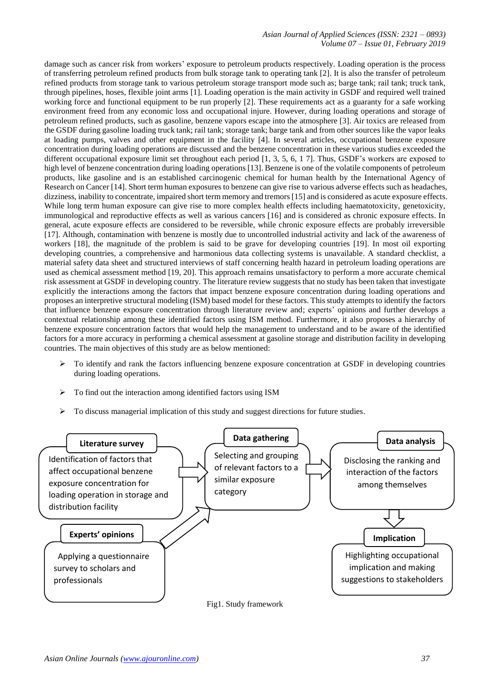## *Asian Journal of Applied Sciences (ISSN: 2321 – 0893) Volume 07 – Issue 01, February 2019*

damage such as cancer risk from workers' exposure to petroleum products respectively. Loading operation is the process of transferring petroleum refined products from bulk storage tank to operating tank [2]. It is also the transfer of petroleum refined products from storage tank to various petroleum storage transport mode such as; barge tank; rail tank; truck tank, through pipelines, hoses, flexible joint arms [1]. Loading operation is the main activity in GSDF and required well trained working force and functional equipment to be run properly [2]. These requirements act as a guaranty for a safe working environment freed from any economic loss and occupational injure. However, during loading operations and storage of petroleum refined products, such as gasoline, benzene vapors escape into the atmosphere [3]. Air toxics are released from the GSDF during gasoline loading truck tank; rail tank; storage tank; barge tank and from other sources like the vapor leaks at loading pumps, valves and other equipment in the facility [4]. In several articles, occupational benzene exposure concentration during loading operations are discussed and the benzene concentration in these various studies exceeded the different occupational exposure limit set throughout each period [1, 3, 5, 6, 1 7]. Thus, GSDF's workers are exposed to high level of benzene concentration during loading operations [13]. Benzene is one of the volatile components of petroleum products, like gasoline and is an established carcinogenic chemical for human health by the International Agency of Research on Cancer [14]. Short term human exposures to benzene can give rise to various adverse effects such as headaches, dizziness, inability to concentrate, impaired short term memory and tremors [15] and is considered as acute exposure effects. While long term human exposure can give rise to more complex health effects including haematotoxicity, genetoxicity, immunological and reproductive effects as well as various cancers [16] and is considered as chronic exposure effects. In general, acute exposure effects are considered to be reversible, while chronic exposure effects are probably irreversible [17]. Although, contamination with benzene is mostly due to uncontrolled industrial activity and lack of the awareness of workers [18], the magnitude of the problem is said to be grave for developing countries [19]. In most oil exporting developing countries, a comprehensive and harmonious data collecting systems is unavailable. A standard checklist, a material safety data sheet and structured interviews of staff concerning health hazard in petroleum loading operations are used as chemical assessment method [19, 20]. This approach remains unsatisfactory to perform a more accurate chemical risk assessment at GSDF in developing country. The literature review suggests that no study has been taken that investigate explicitly the interactions among the factors that impact benzene exposure concentration during loading operations and proposes an interpretive structural modeling (ISM) based model for these factors. This study attempts to identify the factors that influence benzene exposure concentration through literature review and; experts' opinions and further develops a contextual relationship among these identified factors using ISM method. Furthermore, it also proposes a hierarchy of benzene exposure concentration factors that would help the management to understand and to be aware of the identified factors for a more accuracy in performing a chemical assessment at gasoline storage and distribution facility in developing countries. The main objectives of this study are as below mentioned:

- $\triangleright$  To identify and rank the factors influencing benzene exposure concentration at GSDF in developing countries during loading operations.
- $\triangleright$  To find out the interaction among identified factors using ISM
- To discuss managerial implication of this study and suggest directions for future studies.



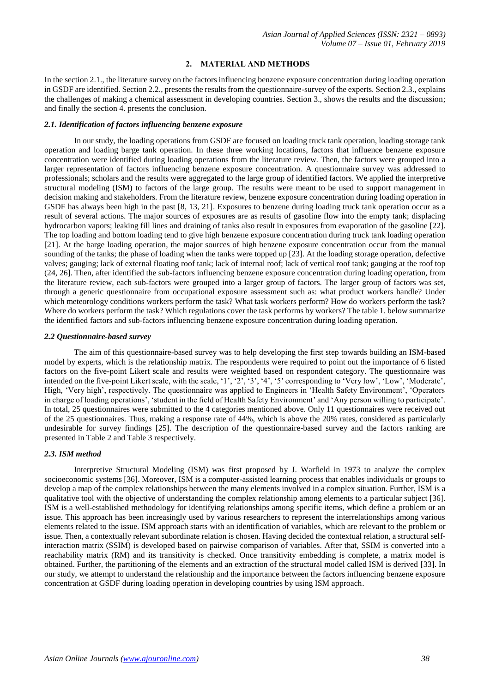# **2. MATERIAL AND METHODS**

In the section 2.1., the literature survey on the factors influencing benzene exposure concentration during loading operation in GSDF are identified. Section 2.2., presents the results from the questionnaire-survey of the experts. Section 2.3., explains the challenges of making a chemical assessment in developing countries. Section 3., shows the results and the discussion; and finally the section 4. presents the conclusion.

## *2.1. Identification of factors influencing benzene exposure*

In our study, the loading operations from GSDF are focused on loading truck tank operation, loading storage tank operation and loading barge tank operation. In these three working locations, factors that influence benzene exposure concentration were identified during loading operations from the literature review. Then, the factors were grouped into a larger representation of factors influencing benzene exposure concentration. A questionnaire survey was addressed to professionals; scholars and the results were aggregated to the large group of identified factors. We applied the interpretive structural modeling (ISM) to factors of the large group. The results were meant to be used to support management in decision making and stakeholders. From the literature review, benzene exposure concentration during loading operation in GSDF has always been high in the past [8, 13, 21]. Exposures to benzene during loading truck tank operation occur as a result of several actions. The major sources of exposures are as results of gasoline flow into the empty tank; displacing hydrocarbon vapors; leaking fill lines and draining of tanks also result in exposures from evaporation of the gasoline [22]. The top loading and bottom loading tend to give high benzene exposure concentration during truck tank loading operation [21]. At the barge loading operation, the major sources of high benzene exposure concentration occur from the manual sounding of the tanks; the phase of loading when the tanks were topped up [23]. At the loading storage operation, defective valves; gauging; lack of external floating roof tank; lack of internal roof; lack of vertical roof tank; gauging at the roof top (24, 26]. Then, after identified the sub-factors influencing benzene exposure concentration during loading operation, from the literature review, each sub-factors were grouped into a larger group of factors. The larger group of factors was set, through a generic questionnaire from occupational exposure assessment such as: what product workers handle? Under which meteorology conditions workers perform the task? What task workers perform? How do workers perform the task? Where do workers perform the task? Which regulations cover the task performs by workers? The table 1. below summarize the identified factors and sub-factors influencing benzene exposure concentration during loading operation.

#### *2.2 Questionnaire-based survey*

The aim of this questionnaire-based survey was to help developing the first step towards building an ISM-based model by experts, which is the relationship matrix. The respondents were required to point out the importance of 6 listed factors on the five-point Likert scale and results were weighted based on respondent category. The questionnaire was intended on the five-point Likert scale, with the scale, '1', '2', '3', '4', '5' corresponding to 'Very low', 'Low', 'Moderate', High, 'Very high', respectively. The questionnaire was applied to Engineers in 'Health Safety Environment', 'Operators in charge of loading operations', 'student in the field of Health Safety Environment' and 'Any person willing to participate'. In total, 25 questionnaires were submitted to the 4 categories mentioned above. Only 11 questionnaires were received out of the 25 questionnaires. Thus, making a response rate of 44%, which is above the 20% rates, considered as particularly undesirable for survey findings [25]. The description of the questionnaire-based survey and the factors ranking are presented in Table 2 and Table 3 respectively.

## *2.3. ISM method*

Interpretive Structural Modeling (ISM) was first proposed by J. Warfield in 1973 to analyze the complex socioeconomic systems [36]. Moreover, ISM is a computer-assisted learning process that enables individuals or groups to develop a map of the complex relationships between the many elements involved in a complex situation. Further, ISM is a qualitative tool with the objective of understanding the complex relationship among elements to a particular subject [36]. ISM is a well-established methodology for identifying relationships among specific items, which define a problem or an issue. This approach has been increasingly used by various researchers to represent the interrelationships among various elements related to the issue. ISM approach starts with an identification of variables, which are relevant to the problem or issue. Then, a contextually relevant subordinate relation is chosen. Having decided the contextual relation, a structural selfinteraction matrix (SSIM) is developed based on pairwise comparison of variables. After that, SSIM is converted into a reachability matrix (RM) and its transitivity is checked. Once transitivity embedding is complete, a matrix model is obtained. Further, the partitioning of the elements and an extraction of the structural model called ISM is derived [33]. In our study, we attempt to understand the relationship and the importance between the factors influencing benzene exposure concentration at GSDF during loading operation in developing countries by using ISM approach.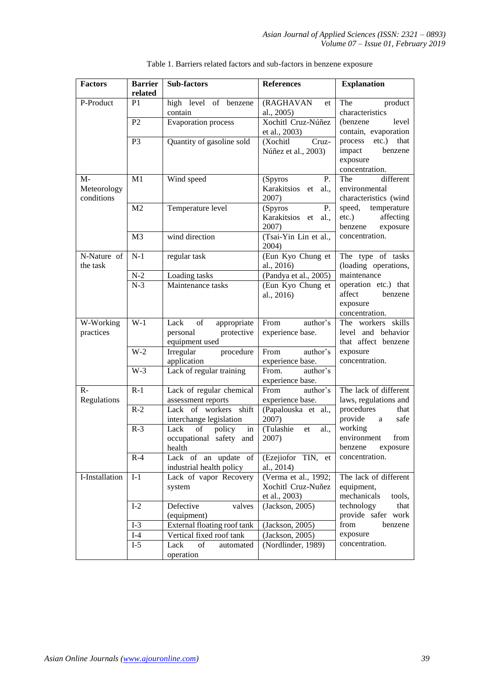| <b>Factors</b>                    | <b>Barrier</b><br>related | Sub-factors                                                           | <b>References</b>                                           | <b>Explanation</b>                                                             |  |  |
|-----------------------------------|---------------------------|-----------------------------------------------------------------------|-------------------------------------------------------------|--------------------------------------------------------------------------------|--|--|
| P-Product                         | P <sub>1</sub>            | high level of benzene<br>contain                                      | (RAGHAVAN<br>et<br>al., 2005)                               | The<br>product<br>characteristics                                              |  |  |
|                                   | P <sub>2</sub>            | <b>Evaporation</b> process                                            | Xochitl Cruz-Núñez<br>et al., 2003)                         | level<br>(benzene)<br>contain, evaporation                                     |  |  |
|                                   | P <sub>3</sub>            | Quantity of gasoline sold                                             | (Xochitl<br>Cruz-<br>Núñez et al., 2003)                    | that<br>$etc.$ )<br>process<br>benzene<br>impact<br>exposure<br>concentration. |  |  |
| $M-$<br>Meteorology<br>conditions | M1                        | Wind speed                                                            | (Spyros<br>P.<br>Karakitsios et<br>al.,<br>2007)            | different<br>The<br>environmental<br>characteristics (wind                     |  |  |
|                                   | M <sub>2</sub>            | Temperature level                                                     | P.<br>(Spyros<br>Karakitsios et al.,<br>2007)               | speed, temperature<br>$etc.$ )<br>affecting<br>benzene<br>exposure             |  |  |
|                                   | M <sub>3</sub>            | wind direction                                                        | (Tsai-Yin Lin et al.,<br>2004)                              | concentration.                                                                 |  |  |
| N-Nature of<br>the task           | $N-1$                     | regular task                                                          | (Eun Kyo Chung et<br>al., 2016)                             | The type of tasks<br>(loading operations,                                      |  |  |
|                                   | $N-2$                     | Loading tasks                                                         | (Pandya et al., 2005)                                       | maintenance                                                                    |  |  |
|                                   | $N-3$                     | Maintenance tasks                                                     | (Eun Kyo Chung et<br>al., 2016)                             | operation etc.) that<br>affect<br>benzene<br>exposure<br>concentration.        |  |  |
| W-Working<br>practices            | $W-1$                     | Lack<br>of<br>appropriate<br>personal<br>protective<br>equipment used | From<br>author's<br>experience base.                        | The workers skills<br>level and behavior<br>that affect benzene                |  |  |
|                                   | $W-2$                     | procedure<br>Irregular<br>application                                 | From<br>author's<br>experience base.                        | exposure<br>concentration.                                                     |  |  |
|                                   | $W-3$                     | Lack of regular training                                              | From.<br>author's<br>experience base.                       |                                                                                |  |  |
| $R -$<br>Regulations              | $R-1$                     | Lack of regular chemical<br>assessment reports                        | From<br>author's<br>experience base.                        | The lack of different<br>laws, regulations and                                 |  |  |
|                                   | $R-2$                     | Lack of workers shift<br>interchange legislation                      | (Papalouska et al.,<br>2007)                                | procedures<br>that<br>provide<br>safe<br>a                                     |  |  |
|                                   | $R-3$                     | of<br>policy<br>Lack<br>in<br>occupational safety and<br>health       | (Tulashie<br>al.,<br>et<br>2007)                            | working<br>environment<br>from<br>benzene<br>exposure                          |  |  |
|                                   | $R-4$                     | Lack of an update of<br>industrial health policy                      | (Ezejiofor TIN, et<br>al., 2014)                            | concentration.                                                                 |  |  |
| I-Installation                    | $I-1$                     | Lack of vapor Recovery<br>system                                      | (Verma et al., 1992;<br>Xochitl Cruz-Nuñez<br>et al., 2003) | The lack of different<br>equipment,<br>mechanicals<br>tools,                   |  |  |
|                                   | $I-2$                     | Defective<br>valves<br>(equipment)                                    | (Jackson, 2005)                                             | technology<br>that<br>provide safer work                                       |  |  |
|                                   | $I-3$                     | External floating roof tank                                           | (Jackson, 2005)                                             | from<br>benzene                                                                |  |  |
|                                   | $I-4$                     | Vertical fixed roof tank                                              | (Jackson, 2005)                                             | exposure                                                                       |  |  |
|                                   | $I-5$                     | Lack<br>of<br>automated<br>operation                                  | (Nordlinder, 1989)                                          | concentration.                                                                 |  |  |

| Table 1. Barriers related factors and sub-factors in benzene exposure |
|-----------------------------------------------------------------------|
|-----------------------------------------------------------------------|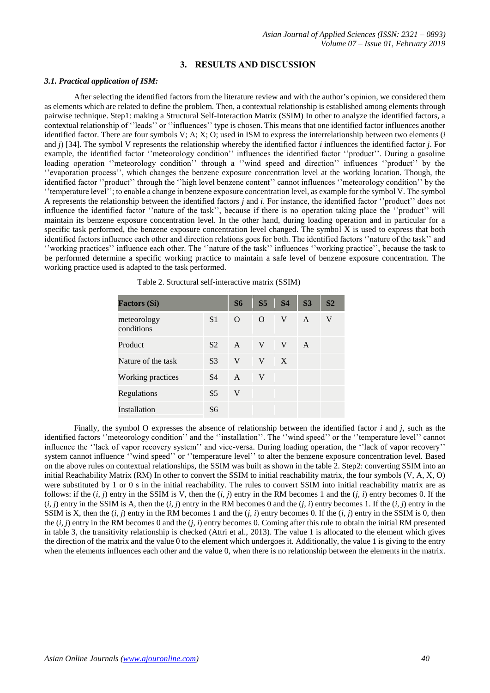## **3. RESULTS AND DISCUSSION**

#### *3.1. Practical application of ISM:*

After selecting the identified factors from the literature review and with the author's opinion, we considered them as elements which are related to define the problem. Then, a contextual relationship is established among elements through pairwise technique. Step1: making a Structural Self-Interaction Matrix (SSIM) In other to analyze the identified factors, a contextual relationship of ''leads'' or ''influences'' type is chosen. This means that one identified factor influences another identified factor. There are four symbols V; A; X; O; used in ISM to express the interrelationship between two elements (*i* and *j*) [34]. The symbol V represents the relationship whereby the identified factor *i* influences the identified factor *j*. For example, the identified factor ''meteorology condition'' influences the identified factor ''product''. During a gasoline loading operation "meteorology condition" through a "wind speed and direction" influences "product" by the ''evaporation process'', which changes the benzene exposure concentration level at the working location. Though, the identified factor ''product'' through the ''high level benzene content'' cannot influences ''meteorology condition'' by the ''temperature level''; to enable a change in benzene exposure concentration level, as example for the symbol V. The symbol A represents the relationship between the identified factors *j* and *i*. For instance, the identified factor ''product'' does not influence the identified factor ''nature of the task'', because if there is no operation taking place the ''product'' will maintain its benzene exposure concentration level. In the other hand, during loading operation and in particular for a specific task performed, the benzene exposure concentration level changed. The symbol X is used to express that both identified factors influence each other and direction relations goes for both. The identified factors ''nature of the task'' and ''working practices'' influence each other. The ''nature of the task'' influences ''working practice'', because the task to be performed determine a specific working practice to maintain a safe level of benzene exposure concentration. The working practice used is adapted to the task performed.

| <b>Factors (Si)</b>       |                | <b>S6</b>    | S <sub>5</sub> | <b>S4</b> | S <sub>3</sub> | S <sub>2</sub> |
|---------------------------|----------------|--------------|----------------|-----------|----------------|----------------|
| meteorology<br>conditions | S <sub>1</sub> | $\Omega$     | $\Omega$       | V         | $\mathsf{A}$   | V              |
| Product                   | S <sub>2</sub> | $\mathsf{A}$ | V              | V         | $\mathsf{A}$   |                |
| Nature of the task        | S <sub>3</sub> | V            | V              | X         |                |                |
| Working practices         | <b>S4</b>      | $\mathsf{A}$ | V              |           |                |                |
| Regulations               | S <sub>5</sub> | V            |                |           |                |                |
| Installation              | S6             |              |                |           |                |                |

Table 2. Structural self-interactive matrix (SSIM)

Finally, the symbol O expresses the absence of relationship between the identified factor *i* and *j,* such as the identified factors ''meteorology condition'' and the ''installation''. The ''wind speed'' or the ''temperature level'' cannot influence the ''lack of vapor recovery system'' and vice-versa. During loading operation, the ''lack of vapor recovery'' system cannot influence  $\cdot$  wind speed'' or ''temperature level'' to alter the benzene exposure concentration level. Based on the above rules on contextual relationships, the SSIM was built as shown in the table 2. Step2: converting SSIM into an initial Reachability Matrix (RM) In other to convert the SSIM to initial reachability matrix, the four symbols (V, A, X, O) were substituted by 1 or 0 s in the initial reachability. The rules to convert SSIM into initial reachability matrix are as follows: if the (*i, j*) entry in the SSIM is V, then the (*i, j*) entry in the RM becomes 1 and the (*j, i*) entry becomes 0. If the (*i, j*) entry in the SSIM is A, then the (*i, j*) entry in the RM becomes 0 and the (*j, i*) entry becomes 1. If the (*i, j*) entry in the SSIM is X, then the  $(i, j)$  entry in the RM becomes 1 and the  $(j, i)$  entry becomes 0. If the  $(i, j)$  entry in the SSIM is 0, then the (*i, j*) entry in the RM becomes 0 and the (*j, i*) entry becomes 0. Coming after this rule to obtain the initial RM presented in table 3, the transitivity relationship is checked (Attri et al., 2013). The value 1 is allocated to the element which gives the direction of the matrix and the value 0 to the element which undergoes it. Additionally, the value 1 is giving to the entry when the elements influences each other and the value 0, when there is no relationship between the elements in the matrix.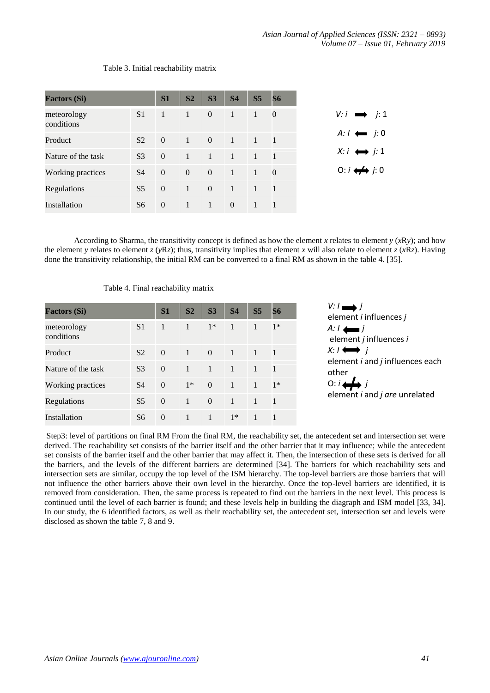| <b>Factors (Si)</b>       |                | S <sub>1</sub> | S <sub>2</sub> | S <sub>3</sub> | S <sub>4</sub> | S <sub>5</sub>   | <b>S6</b>      |
|---------------------------|----------------|----------------|----------------|----------------|----------------|------------------|----------------|
| meteorology<br>conditions | S <sub>1</sub> | $-1$           | $\mathbf{1}$   | $\overline{0}$ | $\Gamma$       | $\sqrt{1}$       | $\mathbf{0}$   |
| Product                   | S <sub>2</sub> | $\overline{0}$ | $\mathbf{1}$   | $\overline{0}$ | $\overline{1}$ | $\blacksquare$ 1 | $\blacksquare$ |
| Nature of the task        | S <sub>3</sub> | $\Omega$       | $\overline{1}$ | $\blacksquare$ | $\blacksquare$ | $\blacksquare$   | $\blacksquare$ |
| Working practices         | S4             | $\Omega$       | $\overline{0}$ | $\overline{0}$ | $\blacksquare$ | $\blacksquare$   | $\overline{0}$ |
| Regulations               | S <sub>5</sub> | $\Omega$       | $\mathbf{1}$   | $\overline{0}$ | $\overline{1}$ | $\blacksquare$   | $\overline{1}$ |
| Installation              | S6             | $\overline{0}$ | $\mathbf{1}$   | -1             | $\overline{0}$ | $\triangleq$     | $\overline{1}$ |

# Table 3. Initial reachability matrix

According to Sharma, the transitivity concept is defined as how the element *x* relates to element  $y(xRy)$ ; and how the element *y* relates to element *z* (*yRz*); thus, transitivity implies that element *x* will also relate to element *z* (*xRz*). Having done the transitivity relationship, the initial RM can be converted to a final RM as shown in the table 4. [35].

| <b>Factors (Si)</b>       |                | S1           | S <sub>2</sub> | S <sub>3</sub> | <b>S4</b>      | S <sub>5</sub> | S6           |
|---------------------------|----------------|--------------|----------------|----------------|----------------|----------------|--------------|
| meteorology<br>conditions | S <sub>1</sub> | $\mathbf{1}$ | $\mathbf{1}$   | $1*$           | 1              | 1              | $1*$         |
| Product                   | S <sub>2</sub> | $\Omega$     | $\overline{1}$ | $\Omega$       | $\overline{1}$ | $\overline{1}$ | $\mathbf{1}$ |
| Nature of the task        | S <sub>3</sub> | $\Omega$     | $\mathbf{1}$   | $\overline{1}$ | $\mathbf{1}$   | $\mathbf{1}$   | 1            |
| Working practices         | S4             | $\Omega$     | $1*$           | $\Omega$       | $\mathbf{1}$   | $\mathbf{1}$   | $1*$         |
| Regulations               | S <sub>5</sub> | $\Omega$     | $\mathbf{1}$   | $\Omega$       | $\mathbf{1}$   | 1              | $\mathbf{1}$ |
| Installation              | S6             | $\Omega$     | 1              | 1              | $1*$           | 1              |              |

Table 4. Final reachability matrix

 $V: I \longrightarrow I$ element *i* influences *j*   $A: I \leftarrow I$ element *j* influences *i*   $X: I \leftrightarrow I$ element *i* and *j* influences each other  $0: i \leftrightarrow j$ element *i* and *j are* unrelated

Step3: level of partitions on final RM From the final RM, the reachability set, the antecedent set and intersection set were derived. The reachability set consists of the barrier itself and the other barrier that it may influence; while the antecedent set consists of the barrier itself and the other barrier that may affect it. Then, the intersection of these sets is derived for all the barriers, and the levels of the different barriers are determined [34]. The barriers for which reachability sets and intersection sets are similar, occupy the top level of the ISM hierarchy. The top-level barriers are those barriers that will not influence the other barriers above their own level in the hierarchy. Once the top-level barriers are identified, it is removed from consideration. Then, the same process is repeated to find out the barriers in the next level. This process is continued until the level of each barrier is found; and these levels help in building the diagraph and ISM model [33, 34]. In our study, the 6 identified factors, as well as their reachability set, the antecedent set, intersection set and levels were disclosed as shown the table 7, 8 and 9.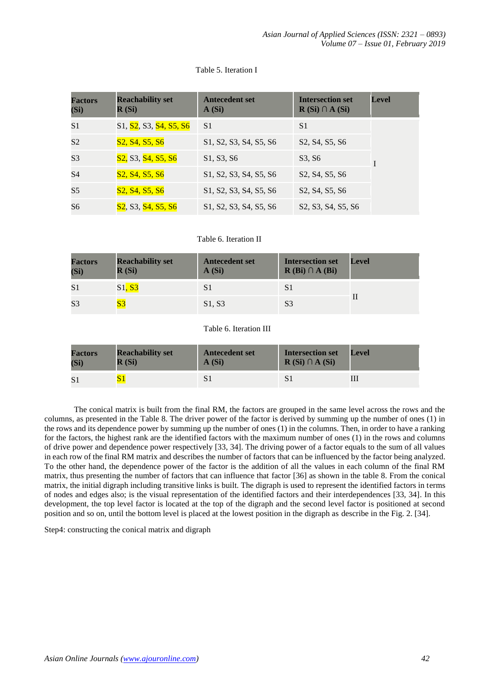| <b>Factors</b><br>(Si) | <b>Reachability set</b><br>R(Si)                                                   | <b>Antecedent set</b><br>A(Si)                                                                      | <b>Intersection set</b><br>$R(Si) \cap A(Si)$                                      | <b>Level</b> |
|------------------------|------------------------------------------------------------------------------------|-----------------------------------------------------------------------------------------------------|------------------------------------------------------------------------------------|--------------|
| S <sub>1</sub>         | S1, S2, S3, S4, S5, S6                                                             | S <sub>1</sub>                                                                                      | S <sub>1</sub>                                                                     |              |
| S <sub>2</sub>         | S <sub>2</sub> , S <sub>4</sub> , S <sub>5</sub> , S <sub>6</sub>                  | S1, S2, S3, S4, S5, S6                                                                              | S2, S4, S5, S6                                                                     |              |
| S <sub>3</sub>         | S <sub>2</sub> , S <sub>3</sub> , S <sub>4</sub> , S <sub>5</sub> , S <sub>6</sub> | S1, S3, S6                                                                                          | S3, S6                                                                             |              |
| S <sub>4</sub>         | S <sub>2</sub> , S <sub>4</sub> , S <sub>5</sub> , S <sub>6</sub>                  | S <sub>1</sub> , S <sub>2</sub> , S <sub>3</sub> , S <sub>4</sub> , S <sub>5</sub> , S <sub>6</sub> | S <sub>2</sub> , S <sub>4</sub> , S <sub>5</sub> , S <sub>6</sub>                  |              |
| S <sub>5</sub>         | S <sub>2</sub> , S <sub>4</sub> , S <sub>5</sub> , S <sub>6</sub>                  | S <sub>1</sub> , S <sub>2</sub> , S <sub>3</sub> , S <sub>4</sub> , S <sub>5</sub> , S <sub>6</sub> | S2, S4, S5, S6                                                                     |              |
| S <sub>6</sub>         | <b>S2</b> , S3, S4, S5, S6                                                         | S <sub>1</sub> , S <sub>2</sub> , S <sub>3</sub> , S <sub>4</sub> , S <sub>5</sub> , S <sub>6</sub> | S <sub>2</sub> , S <sub>3</sub> , S <sub>4</sub> , S <sub>5</sub> , S <sub>6</sub> |              |

## Table 5. Iteration I

# Table 6. Iteration II

| <b>Factors</b><br>(Si) | <b>Reachability set</b><br>R(Si) | <b>Antecedent set</b><br>A(Si) | <b>Intersection set</b><br>$R(Bi) \cap A(Bi)$ | Level |
|------------------------|----------------------------------|--------------------------------|-----------------------------------------------|-------|
| S <sub>1</sub>         | S1, S3                           |                                | S1                                            |       |
| S <sub>3</sub>         | $\overline{\text{S}3}$           | S1, S3                         | S <sub>3</sub>                                |       |

# Table 6. Iteration III

| <b>Factors</b> | <b>Reachability set</b> | <b>Antecedent set</b> | <b>Intersection set</b> | <b>Level</b> |
|----------------|-------------------------|-----------------------|-------------------------|--------------|
| (Si`           | R(Si)                   | A(Si)                 | $R(Si) \cap A(Si)$      |              |
|                |                         |                       |                         |              |

The conical matrix is built from the final RM, the factors are grouped in the same level across the rows and the columns, as presented in the Table 8. The driver power of the factor is derived by summing up the number of ones (1) in the rows and its dependence power by summing up the number of ones (1) in the columns. Then, in order to have a ranking for the factors, the highest rank are the identified factors with the maximum number of ones (1) in the rows and columns of drive power and dependence power respectively [33, 34]. The driving power of a factor equals to the sum of all values in each row of the final RM matrix and describes the number of factors that can be influenced by the factor being analyzed. To the other hand, the dependence power of the factor is the addition of all the values in each column of the final RM matrix, thus presenting the number of factors that can influence that factor [36] as shown in the table 8. From the conical matrix, the initial digraph including transitive links is built. The digraph is used to represent the identified factors in terms of nodes and edges also; is the visual representation of the identified factors and their interdependences [33, 34]. In this development, the top level factor is located at the top of the digraph and the second level factor is positioned at second position and so on, until the bottom level is placed at the lowest position in the digraph as describe in the Fig. 2. [34].

Step4: constructing the conical matrix and digraph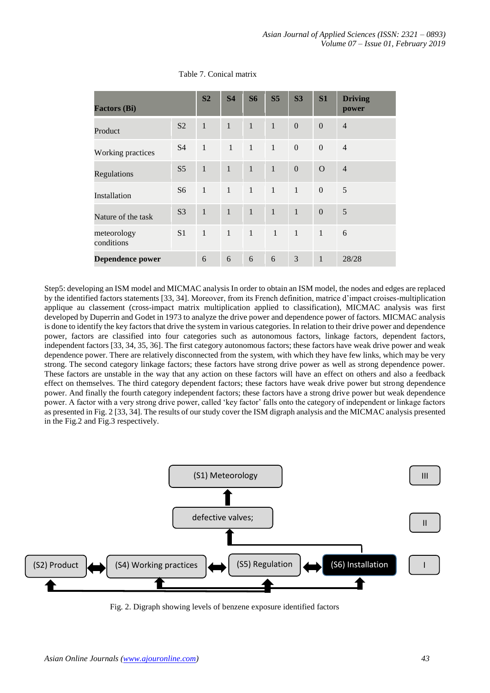| <b>Factors (Bi)</b>       |                | S <sub>2</sub> | <b>S4</b>      | <b>S6</b>     | S <sub>5</sub> | S <sub>3</sub> | S1               | <b>Driving</b><br>power |
|---------------------------|----------------|----------------|----------------|---------------|----------------|----------------|------------------|-------------------------|
| Product                   | S <sub>2</sub> | $\mathbf{1}$   | $\mathbf{1}$   | $\mathbf{1}$  | $\mathbf{1}$   | $\mathbf{0}$   | $\theta$         | $\overline{4}$          |
| Working practices         | <b>S4</b>      | $\mathbf{1}$   | $\overline{1}$ | $\mathbf{1}$  | $\mathbf{1}$   | $\mathbf{0}$   | $\boldsymbol{0}$ | $\overline{4}$          |
| Regulations               | S <sub>5</sub> | $\mathbf{1}$   | $\mathbf{1}$   | $\mathbf{1}$  | $\mathbf{1}$   | $\mathbf{0}$   | $\Omega$         | $\overline{4}$          |
| Installation              | S <sub>6</sub> | $\mathbf{1}$   | $\mathbf{1}$   | $\mathbf{1}$  | $\mathbf{1}$   | $\mathbf{1}$   | $\boldsymbol{0}$ | 5                       |
| Nature of the task        | S <sub>3</sub> | $\mathbf{1}$   | $\mathbf{1}$   | $\mathcal{P}$ | $\mathbf{1}$   | $\mathbf{1}$   | $\mathbf{0}$     | 5                       |
| meteorology<br>conditions | S <sub>1</sub> | $\mathbf{1}$   | $\mathbf{1}$   | $\mathbf{1}$  | $\mathbf{1}$   | $\mathbf{1}$   | $\mathbf{1}$     | 6                       |
| <b>Dependence power</b>   |                | 6              | 6              | 6             | 6              | 3              | $\mathbf{1}$     | 28/28                   |

## Table 7. Conical matrix

Step5: developing an ISM model and MICMAC analysis In order to obtain an ISM model, the nodes and edges are replaced by the identified factors statements [33, 34]. Moreover, from its French definition, matrice d'impact croises-multiplication applique au classement (cross-impact matrix multiplication applied to classification), MICMAC analysis was first developed by Duperrin and Godet in 1973 to analyze the drive power and dependence power of factors. MICMAC analysis is done to identify the key factors that drive the system in various categories. In relation to their drive power and dependence power, factors are classified into four categories such as autonomous factors, linkage factors, dependent factors, independent factors [33, 34, 35, 36]. The first category autonomous factors; these factors have weak drive power and weak dependence power. There are relatively disconnected from the system, with which they have few links, which may be very strong. The second category linkage factors; these factors have strong drive power as well as strong dependence power. These factors are unstable in the way that any action on these factors will have an effect on others and also a feedback effect on themselves. The third category dependent factors; these factors have weak drive power but strong dependence power. And finally the fourth category independent factors; these factors have a strong drive power but weak dependence power. A factor with a very strong drive power, called 'key factor' falls onto the category of independent or linkage factors as presented in Fig. 2 [33, 34]. The results of our study cover the ISM digraph analysis and the MICMAC analysis presented in the Fig.2 and Fig.3 respectively.



Fig. 2. Digraph showing levels of benzene exposure identified factors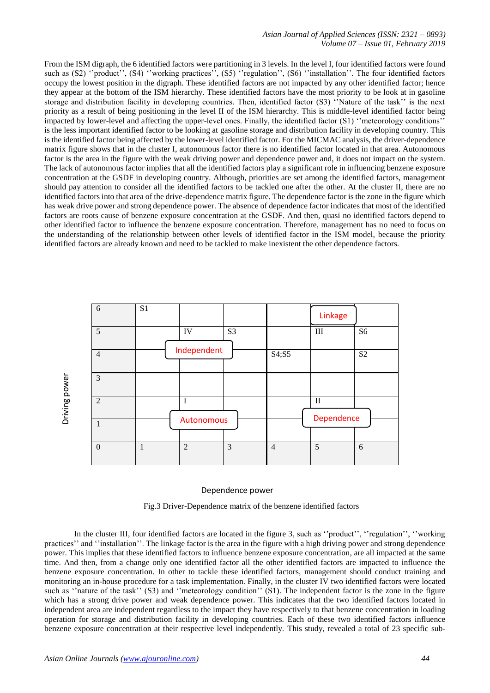## *Asian Journal of Applied Sciences (ISSN: 2321 – 0893) Volume 07 – Issue 01, February 2019*

From the ISM digraph, the 6 identified factors were partitioning in 3 levels. In the level I, four identified factors were found such as (S2) "product", (S4) "working practices", (S5) "regulation", (S6) "installation". The four identified factors occupy the lowest position in the digraph. These identified factors are not impacted by any other identified factor; hence they appear at the bottom of the ISM hierarchy. These identified factors have the most priority to be look at in gasoline storage and distribution facility in developing countries. Then, identified factor (S3) ''Nature of the task'' is the next priority as a result of being positioning in the level II of the ISM hierarchy. This is middle-level identified factor being impacted by lower-level and affecting the upper-level ones. Finally, the identified factor (S1) ''meteorology conditions'' is the less important identified factor to be looking at gasoline storage and distribution facility in developing country. This is the identified factor being affected by the lower-level identified factor. For the MICMAC analysis, the driver-dependence matrix figure shows that in the cluster I, autonomous factor there is no identified factor located in that area. Autonomous factor is the area in the figure with the weak driving power and dependence power and, it does not impact on the system. The lack of autonomous factor implies that all the identified factors play a significant role in influencing benzene exposure concentration at the GSDF in developing country. Although, priorities are set among the identified factors, management should pay attention to consider all the identified factors to be tackled one after the other. At the cluster II, there are no identified factors into that area of the drive-dependence matrix figure. The dependence factor is the zone in the figure which has weak drive power and strong dependence power. The absence of dependence factor indicates that most of the identified factors are roots cause of benzene exposure concentration at the GSDF. And then, quasi no identified factors depend to other identified factor to influence the benzene exposure concentration. Therefore, management has no need to focus on the understanding of the relationship between other levels of identified factor in the ISM model, because the priority identified factors are already known and need to be tackled to make inexistent the other dependence factors.



## Dependence power

Fig.3 Driver-Dependence matrix of the benzene identified factors

In the cluster III, four identified factors are located in the figure 3, such as ''product'', ''regulation'', ''working practices'' and ''installation''. The linkage factor is the area in the figure with a high driving power and strong dependence power. This implies that these identified factors to influence benzene exposure concentration, are all impacted at the same time. And then, from a change only one identified factor all the other identified factors are impacted to influence the benzene exposure concentration. In other to tackle these identified factors, management should conduct training and monitoring an in-house procedure for a task implementation. Finally, in the cluster IV two identified factors were located such as "nature of the task" (S3) and "meteorology condition" (S1). The independent factor is the zone in the figure which has a strong drive power and weak dependence power. This indicates that the two identified factors located in independent area are independent regardless to the impact they have respectively to that benzene concentration in loading operation for storage and distribution facility in developing countries. Each of these two identified factors influence benzene exposure concentration at their respective level independently. This study, revealed a total of 23 specific sub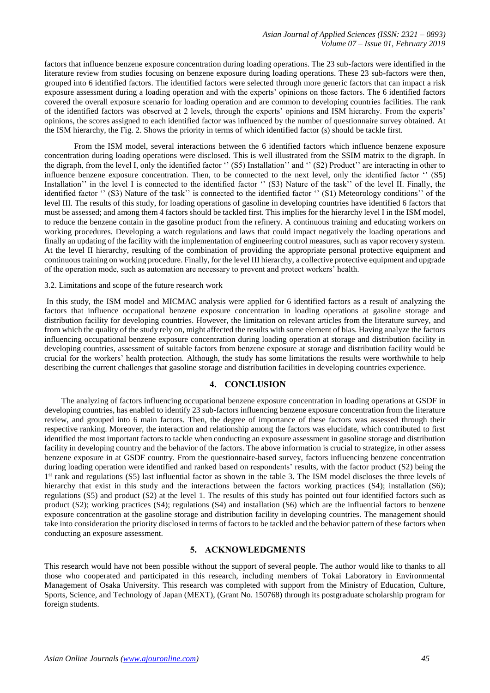factors that influence benzene exposure concentration during loading operations. The 23 sub-factors were identified in the literature review from studies focusing on benzene exposure during loading operations. These 23 sub-factors were then, grouped into 6 identified factors. The identified factors were selected through more generic factors that can impact a risk exposure assessment during a loading operation and with the experts' opinions on those factors. The 6 identified factors covered the overall exposure scenario for loading operation and are common to developing countries facilities. The rank of the identified factors was observed at 2 levels, through the experts' opinions and ISM hierarchy. From the experts' opinions, the scores assigned to each identified factor was influenced by the number of questionnaire survey obtained. At the ISM hierarchy, the Fig. 2. Shows the priority in terms of which identified factor (s) should be tackle first.

From the ISM model, several interactions between the 6 identified factors which influence benzene exposure concentration during loading operations were disclosed. This is well illustrated from the SSIM matrix to the digraph. In the digraph, from the level I, only the identified factor '' (S5) Installation'' and '' (S2) Product'' are interacting in other to influence benzene exposure concentration. Then, to be connected to the next level, only the identified factor '' (S5) Installation'' in the level I is connected to the identified factor '' (S3) Nature of the task'' of the level II. Finally, the identified factor " (S3) Nature of the task'' is connected to the identified factor " (S1) Meteorology conditions" of the level III. The results of this study, for loading operations of gasoline in developing countries have identified 6 factors that must be assessed; and among them 4 factors should be tackled first. This implies for the hierarchy level I in the ISM model, to reduce the benzene contain in the gasoline product from the refinery. A continuous training and educating workers on working procedures. Developing a watch regulations and laws that could impact negatively the loading operations and finally an updating of the facility with the implementation of engineering control measures, such as vapor recovery system. At the level II hierarchy, resulting of the combination of providing the appropriate personal protective equipment and continuous training on working procedure. Finally, for the level III hierarchy, a collective protective equipment and upgrade of the operation mode, such as automation are necessary to prevent and protect workers' health.

#### 3.2. Limitations and scope of the future research work

In this study, the ISM model and MICMAC analysis were applied for 6 identified factors as a result of analyzing the factors that influence occupational benzene exposure concentration in loading operations at gasoline storage and distribution facility for developing countries. However, the limitation on relevant articles from the literature survey, and from which the quality of the study rely on, might affected the results with some element of bias. Having analyze the factors influencing occupational benzene exposure concentration during loading operation at storage and distribution facility in developing countries, assessment of suitable factors from benzene exposure at storage and distribution facility would be crucial for the workers' health protection. Although, the study has some limitations the results were worthwhile to help describing the current challenges that gasoline storage and distribution facilities in developing countries experience.

# **4. CONCLUSION**

The analyzing of factors influencing occupational benzene exposure concentration in loading operations at GSDF in developing countries, has enabled to identify 23 sub-factors influencing benzene exposure concentration from the literature review, and grouped into 6 main factors. Then, the degree of importance of these factors was assessed through their respective ranking. Moreover, the interaction and relationship among the factors was elucidate, which contributed to first identified the most important factors to tackle when conducting an exposure assessment in gasoline storage and distribution facility in developing country and the behavior of the factors. The above information is crucial to strategize, in other assess benzene exposure in at GSDF country. From the questionnaire-based survey, factors influencing benzene concentration during loading operation were identified and ranked based on respondents' results, with the factor product (S2) being the 1<sup>st</sup> rank and regulations (S5) last influential factor as shown in the table 3. The ISM model discloses the three levels of hierarchy that exist in this study and the interactions between the factors working practices (S4); installation (S6); regulations (S5) and product (S2) at the level 1. The results of this study has pointed out four identified factors such as product (S2); working practices (S4); regulations (S4) and installation (S6) which are the influential factors to benzene exposure concentration at the gasoline storage and distribution facility in developing countries. The management should take into consideration the priority disclosed in terms of factors to be tackled and the behavior pattern of these factors when conducting an exposure assessment.

## **5. ACKNOWLEDGMENTS**

This research would have not been possible without the support of several people. The author would like to thanks to all those who cooperated and participated in this research, including members of Tokai Laboratory in Environmental Management of Osaka University. This research was completed with support from the Ministry of Education, Culture, Sports, Science, and Technology of Japan (MEXT), (Grant No. 150768) through its postgraduate scholarship program for foreign students.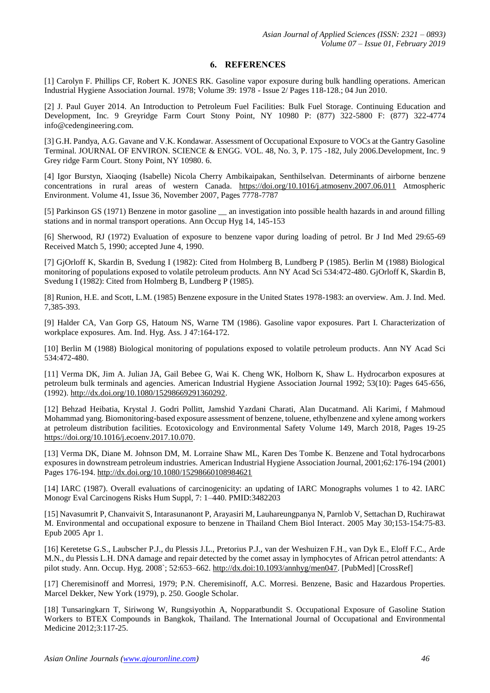## **6. REFERENCES**

[1] Carolyn F. Phillips CF, Robert K. JONES RK. Gasoline vapor exposure during bulk handling operations. American Industrial Hygiene Association Journal. 1978; Volume 39: 1978 - Issue 2/ Pages 118-128.; 04 Jun 2010.

[2] J. Paul Guyer 2014. An Introduction to Petroleum Fuel Facilities: Bulk Fuel Storage. Continuing Education and Development, Inc. 9 Greyridge Farm Court Stony Point, NY 10980 P: (877) 322-5800 F: (877) 322-4774 info@cedengineering.com.

[3] G.H. Pandya, A.G. Gavane and V.K. Kondawar. Assessment of Occupational Exposure to VOCs at the Gantry Gasoline Terminal. JOURNAL OF ENVIRON. SCIENCE & ENGG. VOL. 48, No. 3, P. 175 -182, July 2006.Development, Inc. 9 Grey ridge Farm Court. Stony Point, NY 10980. 6.

[4] Igor Burstyn, Xiaoqing (Isabelle) Nicola Cherry Ambikaipakan, Senthilselvan. Determinants of airborne benzene concentrations in rural areas of western Canada. <https://doi.org/10.1016/j.atmosenv.2007.06.011> Atmospheric Environment. Volume 41, Issue 36, November 2007, Pages 7778-7787

[5] Parkinson GS (1971) Benzene in motor gasoline \_\_ an investigation into possible health hazards in and around filling stations and in normal transport operations. Ann Occup Hyg 14, 145-153

[6] Sherwood, RJ (1972) Evaluation of exposure to benzene vapor during loading of petrol. Br J Ind Med 29:65-69 Received Match 5, 1990; accepted June 4, 1990.

[7] GjOrloff K, Skardin B, Svedung I (1982): Cited from Holmberg B, Lundberg P (1985). Berlin M (1988) Biological monitoring of populations exposed to volatile petroleum products. Ann NY Acad Sci 534:472-480. GjOrloff K, Skardin B, Svedung I (1982): Cited from Holmberg B, Lundberg P (1985).

[8] Runion, H.E. and Scott, L.M. (1985) Benzene exposure in the United States 1978-1983: an overview. Am. J. Ind. Med. 7,385-393.

[9] Halder CA, Van Gorp GS, Hatoum NS, Warne TM (1986). Gasoline vapor exposures. Part I. Characterization of workplace exposures. Am. Ind. Hyg. Ass. J 47:164-172.

[10] Berlin M (1988) Biological monitoring of populations exposed to volatile petroleum products. Ann NY Acad Sci 534:472-480.

[11] Verma DK, Jim A. Julian JA, Gail Bebee G, Wai K. Cheng WK, Holborn K, Shaw L. Hydrocarbon exposures at petroleum bulk terminals and agencies. American Industrial Hygiene Association Journal 1992; 53(10): Pages 645-656, (1992)[. http://dx.doi.org/10.1080/15298669291360292.](http://dx.doi.org/10.1080/15298669291360292)

[12] Behzad Heibatia, Krystal J. Godri Pollitt, Jamshid Yazdani Charati, Alan Ducatmand. Ali Karimi, f Mahmoud Mohammad yang. Biomonitoring-based exposure assessment of benzene, toluene, ethylbenzene and xylene among workers at petroleum distribution facilities. Ecotoxicology and Environmental Safety Volume 149, March 2018, Pages 19-25 [https://doi.org/10.1016/j.ecoenv.2017.10.070.](https://doi.org/10.1016/j.ecoenv.2017.10.070)

[13] Verma DK, Diane M. Johnson DM, M. Lorraine Shaw ML, Karen Des Tombe K. Benzene and Total hydrocarbons exposures in downstream petroleum industries. American Industrial Hygiene Association Journal, 2001;62:176-194 (2001) Pages 176-194.<http://dx.doi.org/10.1080/15298660108984621>

[14] IARC (1987). Overall evaluations of carcinogenicity: an updating of IARC Monographs volumes 1 to 42. IARC Monogr Eval Carcinogens Risks Hum Suppl, 7: 1–440. PMID:3482203

[15] Navasumrit P, Chanvaivit S, Intarasunanont P, Arayasiri M, Lauhareungpanya N, Parnlob V, Settachan D, Ruchirawat M. Environmental and occupational exposure to benzene in Thailand Chem Biol Interact. 2005 May 30;153-154:75-83. Epub 2005 Apr 1.

[16] Keretetse G.S., Laubscher P.J., du Plessis J.L., Pretorius P.J., van der Weshuizen F.H., van Dyk E., Eloff F.C., Arde M.N., du Plessis L.H. DNA damage and repair detected by the comet assay in lymphocytes of African petrol attendants: A pilot study. Ann. Occup. Hyg. 2008`; 52:653–662[. http://dx.doi:10.1093/annhyg/men047.](http://dx.doi:10.1093/annhyg/men047) [PubMed] [CrossRef]

[17] Cheremisinoff and Morresi, 1979; P.N. Cheremisinoff, A.C. Morresi. Benzene, Basic and Hazardous Properties. Marcel Dekker, New York (1979), p. 250. Google Scholar.

[18] Tunsaringkarn T, Siriwong W, Rungsiyothin A, Nopparatbundit S. Occupational Exposure of Gasoline Station Workers to BTEX Compounds in Bangkok, Thailand. The International Journal of Occupational and Environmental Medicine 2012;3:117-25.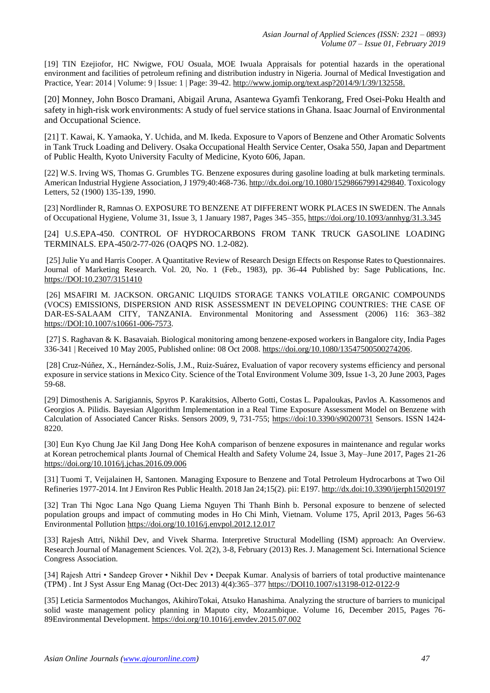[19] TIN Ezejiofor, HC Nwigwe, FOU Osuala, MOE Iwuala Appraisals for potential hazards in the operational environment and facilities of petroleum refining and distribution industry in Nigeria. Journal of Medical Investigation and Practice, Year: 2014 | Volume: 9 | Issue: 1 | Page: 39-42. [http://www.jomip.org/text.asp?2014/9/1/39/132558.](http://www.jomip.org/text.asp?2014/9/1/39/132558)

[20] Monney, John Bosco Dramani, Abigail Aruna, Asantewa Gyamfi Tenkorang, Fred Osei-Poku Health and safety in high-risk work environments: A study of fuel service stations in Ghana. Isaac Journal of Environmental and Occupational Science.

[21] T. Kawai, K. Yamaoka, Y. Uchida, and M. Ikeda. Exposure to Vapors of Benzene and Other Aromatic Solvents in Tank Truck Loading and Delivery. Osaka Occupational Health Service Center, Osaka 550, Japan and Department of Public Health, Kyoto University Faculty of Medicine, Kyoto 606, Japan.

[22] W.S. Irving WS, Thomas G. Grumbles TG. Benzene exposures during gasoline loading at bulk marketing terminals. American Industrial Hygiene Association, J 1979;40:468-736. [http://dx.doi.org/10.1080/15298667991429840.](http://dx.doi.org/10.1080/15298667991429840) Toxicology Letters, 52 (1900) 135-139, 1990.

[23] Nordlinder R, Ramnas O. EXPOSURE TO BENZENE AT DIFFERENT WORK PLACES IN SWEDEN. The Annals of Occupational Hygiene, Volume 31, Issue 3, 1 January 1987, Pages 345–355,<https://doi.org/10.1093/annhyg/31.3.345>

[24] U.S.EPA-450. CONTROL OF HYDROCARBONS FROM TANK TRUCK GASOLINE LOADING TERMINALS. EPA-450/2-77-026 (OAQPS NO. 1.2-082).

[25] Julie Yu and Harris Cooper. A Quantitative Review of Research Design Effects on Response Rates to Questionnaires. Journal of Marketing Research. Vol. 20, No. 1 (Feb., 1983), pp. 36-44 Published by: Sage Publications, Inc. <https://DOI:10.2307/3151410>

[26] MSAFIRI M. JACKSON. ORGANIC LIQUIDS STORAGE TANKS VOLATILE ORGANIC COMPOUNDS (VOCS) EMISSIONS, DISPERSION AND RISK ASSESSMENT IN DEVELOPING COUNTRIES: THE CASE OF DAR-ES-SALAAM CITY, TANZANIA. Environmental Monitoring and Assessment (2006) 116: 363–382 [https://DOI:10.1007/s10661-006-7573.](https://DOI:10.1007/s10661-006-7573)

[27] S. Raghavan & K. Basavaiah. Biological monitoring among benzene-exposed workers in Bangalore city, India Pages 336-341 | Received 10 May 2005, Published online: 08 Oct 2008. [https://doi.org/10.1080/13547500500274206.](https://doi.org/10.1080/13547500500274206)

[28] Cruz-Núñez, X., Hernández-Solís, J.M., Ruiz-Suárez, Evaluation of vapor recovery systems efficiency and personal exposure in service stations in Mexico City. Science of the Total Environment Volume 309, Issue 1-3, 20 June 2003, Pages 59-68.

[29] Dimosthenis A. Sarigiannis, Spyros P. Karakitsios, Alberto Gotti, Costas L. Papaloukas, Pavlos A. Kassomenos and Georgios A. Pilidis. Bayesian Algorithm Implementation in a Real Time Exposure Assessment Model on Benzene with Calculation of Associated Cancer Risks. Sensors 2009, 9, 731-755;<https://doi:10.3390/s90200731> Sensors. ISSN 1424- 8220.

[30] Eun Kyo Chung Jae Kil Jang Dong Hee KohA comparison of benzene exposures in maintenance and regular works at Korean petrochemical plants Journal of Chemical Health and Safety Volume 24, Issue 3, May–June 2017, Pages 21-26 <https://doi.org/10.1016/j.jchas.2016.09.006>

[31] Tuomi T, Veijalainen H, Santonen. Managing Exposure to Benzene and Total Petroleum Hydrocarbons at Two Oil Refineries 1977-2014. Int J Environ Res Public Health. 2018 Jan 24;15(2). pii: E197.<http://dx.doi:10.3390/ijerph15020197>

[32] Tran Thi Ngoc Lana Ngo Quang Liema Nguyen Thi Thanh Binh b. Personal exposure to benzene of selected population groups and impact of commuting modes in Ho Chi Minh, Vietnam. Volume 175, April 2013, Pages 56-63 Environmental Pollution <https://doi.org/10.1016/j.envpol.2012.12.017>

[33] Rajesh Attri, Nikhil Dev, and Vivek Sharma. Interpretive Structural Modelling (ISM) approach: An Overview. Research Journal of Management Sciences. Vol. 2(2), 3-8, February (2013) Res. J. Management Sci. International Science Congress Association.

[34] Rajesh Attri • Sandeep Grover • Nikhil Dev • Deepak Kumar. Analysis of barriers of total productive maintenance (TPM) . Int J Syst Assur Eng Manag (Oct-Dec 2013) 4(4):365–377 [https://DOI10.1007/s13198-012-0122-9](https://doi10.1007/s13198-012-0122-9)

[35] Leticia Sarmentodos Muchangos, AkihiroTokai, Atsuko Hanashima. Analyzing the structure of barriers to municipal solid waste management policy planning in Maputo city, Mozambique. Volume 16, December 2015, Pages 76- 89Environmental Development.<https://doi.org/10.1016/j.envdev.2015.07.002>